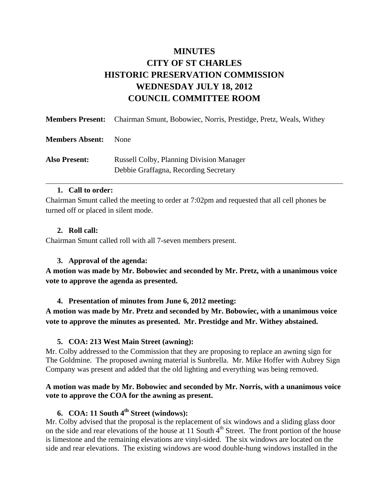# **MINUTES CITY OF ST CHARLES HISTORIC PRESERVATION COMMISSION WEDNESDAY JULY 18, 2012 COUNCIL COMMITTEE ROOM**

|                        | <b>Members Present:</b> Chairman Smunt, Bobowiec, Norris, Prestidge, Pretz, Weals, Withey |
|------------------------|-------------------------------------------------------------------------------------------|
| <b>Members Absent:</b> | <b>None</b>                                                                               |
| <b>Also Present:</b>   | <b>Russell Colby, Planning Division Manager</b><br>Debbie Graffagna, Recording Secretary  |

#### **1. Call to order:**

Chairman Smunt called the meeting to order at 7:02pm and requested that all cell phones be turned off or placed in silent mode.

### **2. Roll call:**

Chairman Smunt called roll with all 7-seven members present.

### **3. Approval of the agenda:**

**A motion was made by Mr. Bobowiec and seconded by Mr. Pretz, with a unanimous voice vote to approve the agenda as presented.** 

#### **4. Presentation of minutes from June 6, 2012 meeting:**

**A motion was made by Mr. Pretz and seconded by Mr. Bobowiec, with a unanimous voice vote to approve the minutes as presented. Mr. Prestidge and Mr. Withey abstained.** 

### **5. COA: 213 West Main Street (awning):**

Mr. Colby addressed to the Commission that they are proposing to replace an awning sign for The Goldmine. The proposed awning material is Sunbrella. Mr. Mike Hoffer with Aubrey Sign Company was present and added that the old lighting and everything was being removed.

### **A motion was made by Mr. Bobowiec and seconded by Mr. Norris, with a unanimous voice vote to approve the COA for the awning as present.**

### **6. COA: 11 South 4th Street (windows):**

Mr. Colby advised that the proposal is the replacement of six windows and a sliding glass door on the side and rear elevations of the house at 11 South  $4<sup>th</sup>$  Street. The front portion of the house is limestone and the remaining elevations are vinyl-sided. The six windows are located on the side and rear elevations. The existing windows are wood double-hung windows installed in the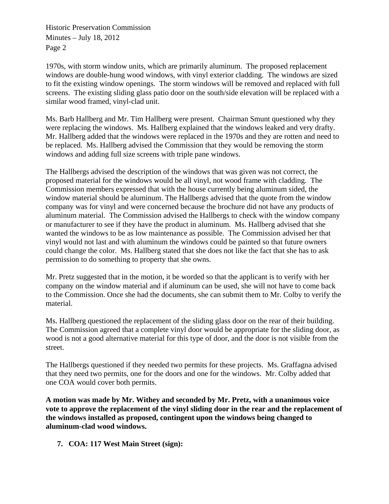Historic Preservation Commission Minutes – July 18, 2012 Page 2

1970s, with storm window units, which are primarily aluminum. The proposed replacement windows are double-hung wood windows, with vinyl exterior cladding. The windows are sized to fit the existing window openings. The storm windows will be removed and replaced with full screens. The existing sliding glass patio door on the south/side elevation will be replaced with a similar wood framed, vinyl-clad unit.

Ms. Barb Hallberg and Mr. Tim Hallberg were present. Chairman Smunt questioned why they were replacing the windows. Ms. Hallberg explained that the windows leaked and very drafty. Mr. Hallberg added that the windows were replaced in the 1970s and they are rotten and need to be replaced. Ms. Hallberg advised the Commission that they would be removing the storm windows and adding full size screens with triple pane windows.

The Hallbergs advised the description of the windows that was given was not correct, the proposed material for the windows would be all vinyl, not wood frame with cladding. The Commission members expressed that with the house currently being aluminum sided, the window material should be aluminum. The Hallbergs advised that the quote from the window company was for vinyl and were concerned because the brochure did not have any products of aluminum material. The Commission advised the Hallbergs to check with the window company or manufacturer to see if they have the product in aluminum. Ms. Hallberg advised that she wanted the windows to be as low maintenance as possible. The Commission advised her that vinyl would not last and with aluminum the windows could be painted so that future owners could change the color. Ms. Hallberg stated that she does not like the fact that she has to ask permission to do something to property that she owns.

Mr. Pretz suggested that in the motion, it be worded so that the applicant is to verify with her company on the window material and if aluminum can be used, she will not have to come back to the Commission. Once she had the documents, she can submit them to Mr. Colby to verify the material.

Ms. Hallberg questioned the replacement of the sliding glass door on the rear of their building. The Commission agreed that a complete vinyl door would be appropriate for the sliding door, as wood is not a good alternative material for this type of door, and the door is not visible from the street.

The Hallbergs questioned if they needed two permits for these projects. Ms. Graffagna advised that they need two permits, one for the doors and one for the windows. Mr. Colby added that one COA would cover both permits.

**A motion was made by Mr. Withey and seconded by Mr. Pretz, with a unanimous voice vote to approve the replacement of the vinyl sliding door in the rear and the replacement of the windows installed as proposed, contingent upon the windows being changed to aluminum-clad wood windows.** 

**7. COA: 117 West Main Street (sign):**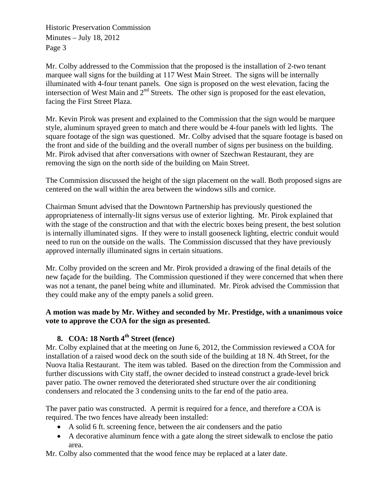Historic Preservation Commission Minutes – July 18, 2012 Page 3

Mr. Colby addressed to the Commission that the proposed is the installation of 2-two tenant marquee wall signs for the building at 117 West Main Street. The signs will be internally illuminated with 4-four tenant panels. One sign is proposed on the west elevation, facing the intersection of West Main and  $2<sup>nd</sup>$  Streets. The other sign is proposed for the east elevation, facing the First Street Plaza.

Mr. Kevin Pirok was present and explained to the Commission that the sign would be marquee style, aluminum sprayed green to match and there would be 4-four panels with led lights. The square footage of the sign was questioned. Mr. Colby advised that the square footage is based on the front and side of the building and the overall number of signs per business on the building. Mr. Pirok advised that after conversations with owner of Szechwan Restaurant, they are removing the sign on the north side of the building on Main Street.

The Commission discussed the height of the sign placement on the wall. Both proposed signs are centered on the wall within the area between the windows sills and cornice.

Chairman Smunt advised that the Downtown Partnership has previously questioned the appropriateness of internally-lit signs versus use of exterior lighting. Mr. Pirok explained that with the stage of the construction and that with the electric boxes being present, the best solution is internally illuminated signs. If they were to install gooseneck lighting, electric conduit would need to run on the outside on the walls. The Commission discussed that they have previously approved internally illuminated signs in certain situations.

Mr. Colby provided on the screen and Mr. Pirok provided a drawing of the final details of the new façade for the building. The Commission questioned if they were concerned that when there was not a tenant, the panel being white and illuminated. Mr. Pirok advised the Commission that they could make any of the empty panels a solid green.

### **A motion was made by Mr. Withey and seconded by Mr. Prestidge, with a unanimous voice vote to approve the COA for the sign as presented.**

## **8. COA: 18 North 4th Street (fence)**

Mr. Colby explained that at the meeting on June 6, 2012, the Commission reviewed a COA for installation of a raised wood deck on the south side of the building at 18 N. 4th Street, for the Nuova Italia Restaurant. The item was tabled. Based on the direction from the Commission and further discussions with City staff, the owner decided to instead construct a grade-level brick paver patio. The owner removed the deteriorated shed structure over the air conditioning condensers and relocated the 3 condensing units to the far end of the patio area.

The paver patio was constructed. A permit is required for a fence, and therefore a COA is required. The two fences have already been installed:

- A solid 6 ft. screening fence, between the air condensers and the patio
- A decorative aluminum fence with a gate along the street sidewalk to enclose the patio area.

Mr. Colby also commented that the wood fence may be replaced at a later date.